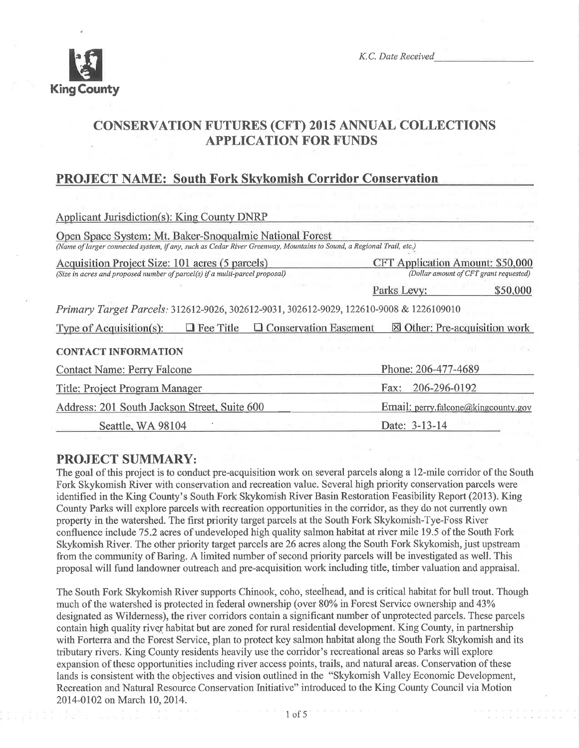

K.C. Date Received

## CONSERVATION FUTURES (CFT) 2015 ANNUAL COLLECTIONS APPLICATION FOR FUNDS

## PROJECT NAME: South Fork Skvkomish Corridor Conservation

| <b>Applicant Jurisdiction(s): King County DNRP</b>                                                                                                                             |                                        |  |  |  |
|--------------------------------------------------------------------------------------------------------------------------------------------------------------------------------|----------------------------------------|--|--|--|
| Open Space System: Mt. Baker-Snoqualmie National Forest<br>(Name of larger connected system, if any, such as Cedar River Greenway, Mountains to Sound, a Regional Trail, etc.) |                                        |  |  |  |
| Acquisition Project Size: 101 acres (5 parcels)                                                                                                                                | CFT Application Amount: \$50,000       |  |  |  |
| (Size in acres and proposed number of parcel(s) if a multi-parcel proposal)                                                                                                    | (Dollar amount of CFT grant requested) |  |  |  |
|                                                                                                                                                                                | Parks Levy:<br>\$50,000                |  |  |  |
| Primary Target Parcels: 312612-9026, 302612-9031, 302612-9029, 122610-9008 & 1226109010                                                                                        |                                        |  |  |  |
| $\Box$ Fee Title<br><b>Q</b> Conservation Easement<br>Type of Acquisition(s):                                                                                                  | ⊠ Other: Pre-acquisition work          |  |  |  |
| <b>CONTACT INFORMATION</b>                                                                                                                                                     |                                        |  |  |  |
| <b>Contact Name: Perry Falcone</b>                                                                                                                                             | Phone: 206-477-4689                    |  |  |  |
| <b>Title: Project Program Manager</b>                                                                                                                                          | 206-296-0192<br>Fax:                   |  |  |  |
| Address: 201 South Jackson Street, Suite 600                                                                                                                                   | Email: perry.falcone@kingcounty.gov    |  |  |  |
| Seattle, WA 98104                                                                                                                                                              | Date: 3-13-14                          |  |  |  |

### PROJECT SUMMARY:

The goal of this project is to conduct pre-acquisition work on several parcels alonga l2-mile corridor of the South Fork Skykomish River with conservation and recreation value. Several high priority conservation parcels were identified in the King County's South Fork Skykomish River Basin Restoration Feasibility Report (2013). King County Parks will explore parcels with recreation opportunities in the corridor, as they do not currently own property in the watershed. The first priority target parcels at the South Fork Skykomish-Tye-Foss River confluence include 75.2 acres of undeveloped high quality salmon habitat at river mile 19.5 of the South Fork Skykomish River. The other priority target parcels are 26 acres along the South Fork Skykomish, just upstream from the community of Baring. A limited number of second priority parcels will be investigated as well. This proposal will fund landowner outreach and pre-acquisition work including title, timber valuation and appraisal.

The South Fork Skykomish River supports Chinook, coho, steelhead, and is critical habitat for bull trout. Though much of the watershed is protected in federal ownership (over 80% in Forest Service ownership and 43% designated as Wilderness), the river corridors contain a significant number of unprotected parcels. These parcels contain high quality river habitat but are zoned for rural residential development. King County, in partnership with Forterra and the Forest Service, plan to protect key salmon habitat along the South Fork Skykomish and its tributary rivers. King County residents heavily use the corridor's recreational areas so Parks will explore expansion of these opportunities including river access points, trails, and natural areas. Conservation of these lands is consistent with the objectives and vision outlined in the "Skykomish Valley Economic Development, Recreation and Natural Resource Conservation Initiative" introduced to the King County Council via Motion 2014-0102 on March 10,2014.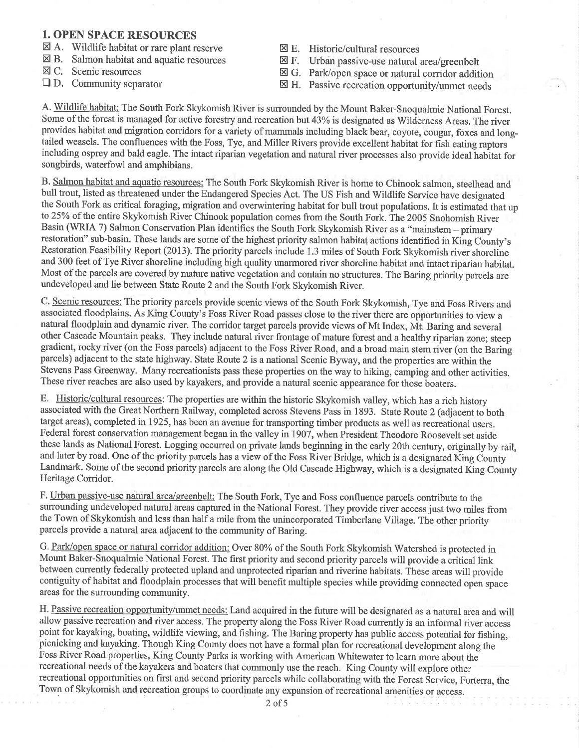#### 1. OPEN SPACE RESOURCES

- $\boxtimes$  A. Wildlife habitat or rare plant reserve  $\boxtimes$  B. Salmon habitat and aquatic resources  $\boxtimes$  C. Scenic resources
- 
- 
- $\Box$  D. Community separator
- $\boxtimes$  E. Historic/cultural resources
- 
- $\boxtimes$  F. Urban passive-use natural area/greenbelt<br> $\boxtimes$  G. Park/open space or natural corridor addition
- $\boxtimes$  H. Passive recreation opportunity/unmet needs

A. Wildlife habitat: The South Fork Skykomish River is surrounded by the Mount Baker-Snoqualmie National Forest. Some of the forest is managed for active forestry and recreation but 43% is designated as Wilderness Areas. The river provides habitat and migration corridors for a variety of mammals including black bear, coyote, cougar, foxes and longtailed weasels. The confluences with the Foss, Tye, and Miller Rivers provide excellent habitat for fish eating raptors including osprey and bald eagle. The intact riparian vegetation and natural river processes also provide ideal habìtat for songbirds, waterfowl and amphibians.

B. Salmon habitat and aquatic resources: The South Fork Skykomish River is home to Chinook salmon, steelhead and bull trout, listed as threatened under the Endangered Species Act. The US Fish and Wildlife Service have designated the South Fork as critical foraging, migration and overwintering habitat for bull trout populations. It is estimated that up to 25Yo of the entire Skykomish River Chinook population comes from the South Fork. The 2005 Snohomish River Basin (WRIA 7) Salmon Conservation Plan identifies the South Fork Skykomish River as a "mainstem - primary restoration" sub-basin. These lands are some of the highest priority salmon habitat actions identified in King County's Restoration Feasibility Report (2013). The priority parcels include 1.3 miles of South Fork Skykomish river shoreline and 300 feet of Tye River shoreline including high quality unarmored river shoreline habitat and intact riparian habitat. Most of the parcels are covered by mature native vegetation and contain no structures. The Baring priority parcels are undeveloped and lie between State Route 2 and the South Fork Skykomish River.

C. Scenic resources: The priority parcels provide scenic views of the South Fork Skykomish, Tye and Foss Rivers and associated floodplains. As King County's Foss River Road passes close to the river there are opportunities to view <sup>a</sup> natural floodplain and dynamic river. The corridor target parcels provide views of Mt Index, Mt. Baring and several other Cascade Mountain peaks. They include natural river frontage of mature forest and a healthy riparian zone; steep gradient, rocky river (on the Foss parcels) adjacent to the Foss River Road, and a broad main stem river (on the Baring parcels) adjacent to the state highway. State Route 2 is a national Scenic Byway, and the properties are within the Stevens Pass Greenway. Many recreationists pass these properties on the way to hiking, camping and other activities. These river reaches are also used by kayakers, and provide a natural scenic appearance for those boaters.

E. Historic/cultural resources: The properties are within the historic Skykomish valley, which has a rich history associated with the Great Northern Railway, completed across Stevens Pass in 1893. State Route 2 (adjacent to both target areas), completed in 1925, has been an avenue for transporting timber products as well as recreational users. Federal forest conservation management began in the valley in 1907, when President Theodore Roosevelt set aside these lands as National Forest. Logging occurred on private lands beginning in the early 20th century, originally by rail, and later by road. One of the priority parcels has a view of the Foss River Bridge, which is a designated King County Landmark. Some of the second priority parcels are along the Old Cascade Highway, which is a designated King County Heritage Corridor.

F. Urban passive-use natural area/greenbelt: The South Fork, Tye and Foss confluence parcels contribute to the surrounding undeveloped natural areas captured in the National Forest. They provide river access just two miles from the Town of Skykomish and less than half a mile from the unincorporated Timberlane Village. The other priority parcels provide anatural area adjacent to the community of Baring.

G. Park/open space or natural corridor addition: Over 80% of the South Fork Skykomish Watershed is protected in Mount Baker-Snoqualmie National Forest. The first priority and second priority parcels will provide a critical link between currently federally protected upland and unprotected riparian and riverine habitats. These areas will provide contiguity of habitat and floodplain processes that will benefit multiple species while providing connected open space areas for the surrounding community.

H. Passive recreation opportunitv/unmet needs: Land acquired in the future will be designated as a natural area and will allow passive recreation and river access. The property along the Foss River Road currently is an informal river access point for kayaking, boating, wildlife viewing, and fishing. The Baring property has public access potential for fishing, picnicking and kayaking. Though King County does not have a formal plan for recreational development along the Foss River Road properties, King County Parks is working with American Whitewater to leam more about the recreational needs of the kayakers and boaters that commonly use the reach. King County will explore other recreational opportunities on first and second priority parcels while collaborating with the Forest Service, Forterra, the Town of Skykomish and recreation groups to coordinate any expansion of recreational amenities or access.

7. Y X 1 5 0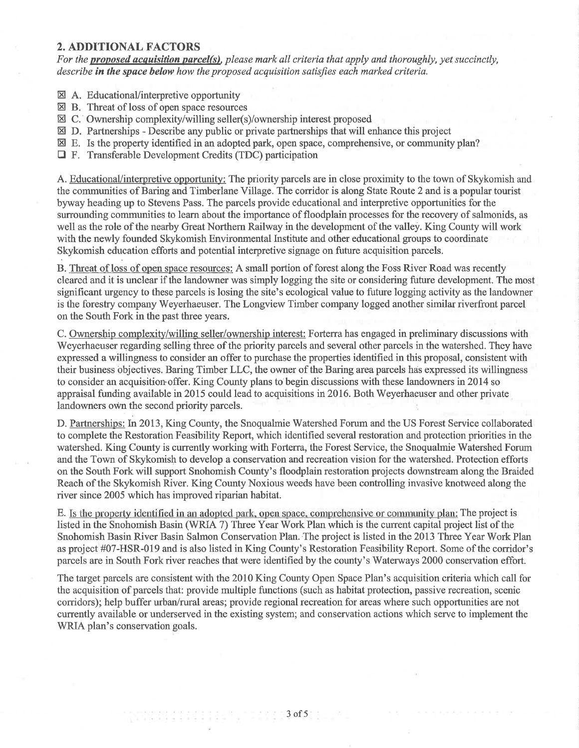#### 2. ADDITIONAL FACTORS

For the **proposed acquisition parcel(s)**, please mark all criteria that apply and thoroughly, yet succinctly, describe in the space below how the proposed acquisition satisfies each marked criteria.

- 8A. EducationaVinterpretive opportunity
- The <del>Macculonial Interpretate</del> opportunity<br> **⊠** B. Threat of loss of open space resources
- 8C. Ownership complexity/willing seller(s)/ownership interest proposed
- $\boxtimes$  D. Partnerships Describe any public or private partnerships that will enhance this project
- ⊠ E. Is the property identified in an adopted park, open space, comprehensive, or community plan?
- $\Box$  F. Transferable Development Credits (TDC) participation

A. Educational/interpretive opportunity: The priority parcels are in close proximity to the town of Skykomish and the communities of Baring and Timberlane Village. The corridor is along State Route 2 and is apopular tourist byway heading up to Stevens Pass. The parcels provide educational and interpretive opportunities for the surrounding communities to learn about the importance of floodplain processes for the recovery of salmonids, as well as the role of the nearby Great Northern Railway in the development of the valley. King County will work with the newly founded Skykomish Environmental Institute and other educational groups to coordinate Skykomish education efforts and potential interpretive signage on future acquisition parcels.

B. Threat of loss of open space resources: A small portion of forest along the Foss River Road was recently cleared and it is unclear if the landowner was simply logging the site or considering future development. The most significant urgency to these parcels is losing the site's ecological value to future logging activity as the landowner is the forestry company Weyerhaeuser. The Longview Timber company logged another similar riverfront parcel on the South Fork in the past three years.

C. Ownership complexity/willing seller/ownership interest: Forterra has engaged in preliminary discussions with Weyerhaeuser regarding selling three of the priority parcels and several other parcels in the watershed. They have expressed a willingness to consider an offer to purchase the properties identified in this proposal, consistent with their business objectives. Baring Timber LLC, the owner of the Baring area parcels has expressed its willingness to consider an acquisition offer. King County plans to begin discussions with these landowners in 2014 so appraisal funding available in20l5 could lead to acquisitions in 2016. Both Weyerhaeuser and other private landowners own the second priority parcels.

D. Partnerships: In 2013, King County, the Snoqualmie Watershed Forum and the US Forest Service collaborated to complete the Restoration Feasibility Report, which identified several restoration and protection priorities in the watershed. King County is currentþ working with Fortena, the Forest Service, the Snoqualmie Watershed Forum and the Town of Skykomish to develop a conservation and recreation vision for the watershed. Protection efforts on the South Fork will support Snohomish County's floodplain restoration projects downstream along the Braided Reach of the Skykomish River. King County Noxious weeds have been controlling invasive knotweed along the river since 2005 which has improved riparian habitat.

E. Is the property identified in an adopted park, open space, comprehensive or community plan: The project is listed in the Snohomish Basin (WRIA 7) Three Year Work Plan which is the current capital project list of the Snohomish Basin River Basin Salmon Conservation Plan.'The project is listed in the 2013 Three Year Work Plan as project #07-HSR-019 and is also listed in King County's Restoration Feasibility Report. Some of the corridor's parcels are in South Fork river reaches that were identified by the county's Waterways 2000 conservation effort.

The target parcels are consistent with the 2010 King County Open Space Plan's acquisition criteria which call for the acquisition of parcels that: provide multiple functions (such as habitat protection, passive recreation, scenic corridors); help buffer urban/rural areas; provide regional recreation for areas where such opportunities are not currently available or underserved in the existing system; and conservation actions which serve to implement the WRIA plan's conservation goals.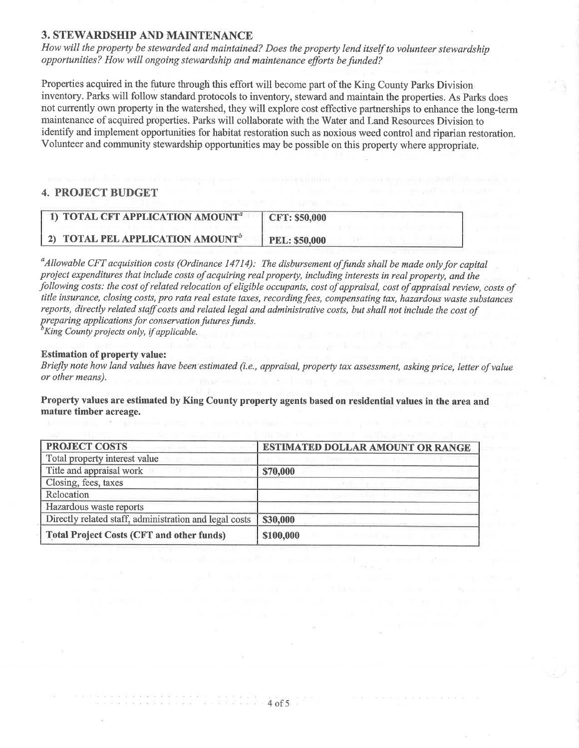#### **3. STEWARDSHIP AND MAINTENANCE**

How will the property be stewarded and maintained? Does the property lend itself to volunteer stewardship opportunities? How will ongoing stewardship and maintenance efforts be funded?

Properties acquired in the future through this effort will become part of the King County Parks Division inventory. Parks will follow standard protocols to inventory, steward and maintain the properties. As Parks does not currently own property in the watershed, they will explore cost effective partnerships to enhance the long-term maintenance of acquired properties. Parks will collaborate with the Water and Land Resources Division to identify and implement opportunities for habitat restoration such as noxious weed control and riparian restoration. Volunteer and community stewardship opportunities may be possible on this property where appropriate.

#### 4. PROJECT BUDGET

| 1) TOTAL CFT APPLICATION AMOUNT <sup>a</sup> | <b>CFT: \$50,000</b> |
|----------------------------------------------|----------------------|
| 2) TOTAL PEL APPLICATION AMOUNT              | <b>PEL: \$50,000</b> |

 $^a$ Allowable CFT acquisition costs (Ordinance 14714): The disbursement of funds shall be made only for capital project expenditures that include costs of acquiring real property, including interests in real property, and the following costs: the cost of related relocation of eligible occupants, cost of appraisal, cost of appraisal review, costs of title insurance, closing costs, pro rata real estate taxes, recording fees, compensating tax, hazardous waste substances reports, directly related staff costs and related legal and administrative costs, but shall not include the cost of<br>preparing applications for conservation futures funds.  ${}^b$ King County projects only, if applicable.

#### Estimation of property value:

Briefly note how land values have been estimated (i.e., appraisal, property tax assessment, asking price, letter of value or other means).

Property values are estimated by King County property agents based on residential values in the area and mature timber acreage.

| <b>PROJECT COSTS</b>                                   | <b>ESTIMATED DOLLAR AMOUNT OR RANGE</b> |
|--------------------------------------------------------|-----------------------------------------|
| Total property interest value                          |                                         |
| Title and appraisal work                               | \$70,000                                |
| Closing, fees, taxes                                   |                                         |
| Relocation                                             |                                         |
| Hazardous waste reports                                |                                         |
| Directly related staff, administration and legal costs | \$30,000                                |
| <b>Total Project Costs (CFT and other funds)</b>       | \$100,000                               |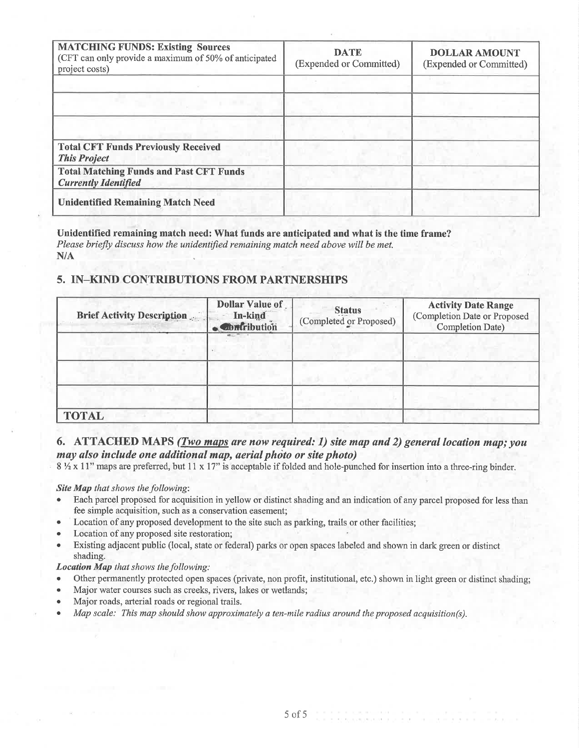| <b>MATCHING FUNDS: Existing Sources</b><br>(CFT can only provide a maximum of 50% of anticipated<br>project costs) | <b>DATE</b><br>(Expended or Committed) | <b>DOLLAR AMOUNT</b><br>(Expended or Committed) |
|--------------------------------------------------------------------------------------------------------------------|----------------------------------------|-------------------------------------------------|
|                                                                                                                    |                                        |                                                 |
|                                                                                                                    |                                        |                                                 |
|                                                                                                                    |                                        |                                                 |
| <b>Total CFT Funds Previously Received</b><br><b>This Project</b>                                                  |                                        |                                                 |
| <b>Total Matching Funds and Past CFT Funds</b><br><b>Currently Identified</b>                                      |                                        |                                                 |
| <b>Unidentified Remaining Match Need</b>                                                                           |                                        |                                                 |

#### Unidentified remaining match need: What funds are anticipated and what is the time frame?

Please briefly discuss how the unidentified remaining match need above will be met.  $N/A$ 

#### 5. IN-KIND CONTRIBUTIONS FROM PARTNERSHIPS

| <b>Brief Activity Description</b> | <b>Dollar Value of</b><br>In-kind<br><b>Contribution</b> | <b>Status</b><br>(Completed or Proposed) | <b>Activity Date Range</b><br>(Completion Date or Proposed<br>Completion Date) |
|-----------------------------------|----------------------------------------------------------|------------------------------------------|--------------------------------------------------------------------------------|
|                                   |                                                          |                                          |                                                                                |
|                                   |                                                          |                                          |                                                                                |
| <b>TOTAL</b>                      |                                                          |                                          |                                                                                |

#### 6. ATTACHED MAPS (*Two maps are now required: 1*) site map and 2) general location map; you may also include one additional map, aerial photo or site photo)

8 1/2 x 11" maps are preferred, but 11 x 17" is acceptable if folded and hole-punched for insertion into a three-ring binder.

Site Map that shows the following:

- Each parcel proposed for acquisition in yellow or distinct shading and an indication of any parcel proposed for less than  $\bullet$ fee simple acquisition, such as a conservation easement;
- Location of any proposed development to the site such as parking, trails or other facilities;  $\bullet$
- Location of any proposed site restoration;  $\bullet$
- Existing adjacent public (local, state or federal) parks or open spaces labeled and shown in dark green or distinct  $\bullet$ shading.

**Location Map** that shows the following:

- Other permanently protected open spaces (private, non profit, institutional, etc.) shown in light green or distinct shading;
- Major water courses such as creeks, rivers, lakes or wetlands;  $\bullet$
- Major roads, arterial roads or regional trails.
- Map scale: This map should show approximately a ten-mile radius around the proposed acquisition(s).  $\blacksquare$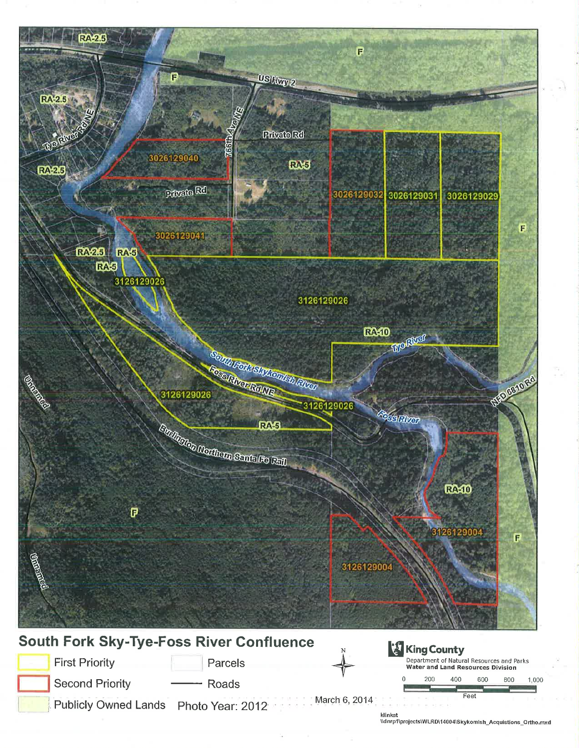

klinkat<br>\\dnrp1\projects\WLRD\14004\Skykomish\_Acquistions\_Ortho.mxd